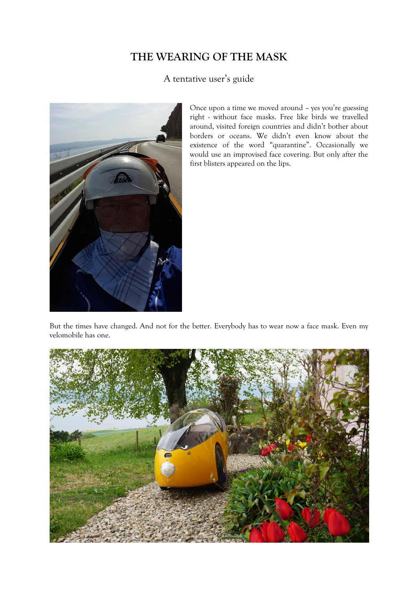## **THE WEARING OF THE MASK**

## A tentative user's guide



Once upon a time we moved around – yes you're guessing right - without face masks. Free like birds we travelled around, visited foreign countries and didn't bother about borders or oceans. We didn't even know about the existence of the word "quarantine". Occasionally we would use an improvised face covering. But only after the first blisters appeared on the lips.

But the times have changed. And not for the better. Everybody has to wear now a face mask. Even my velomobile has one.

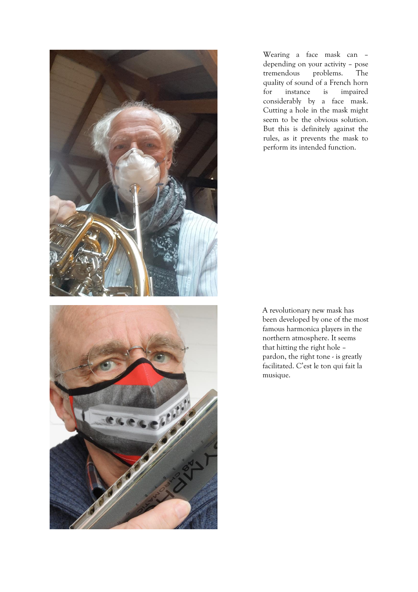



Wearing a face mask can – depending on your activity – pose tremendous problems. The quality of sound of a French horn for instance is impaired considerably by a face mask. Cutting a hole in the mask might seem to be the obvious solution. But this is definitely against the rules, as it prevents the mask to perform its intended function.

A revolutionary new mask has been developed by one of the most famous harmonica players in the northern atmosphere. It seems that hitting the right hole – pardon, the right tone - is greatly facilitated. C'est le ton qui fait la musique.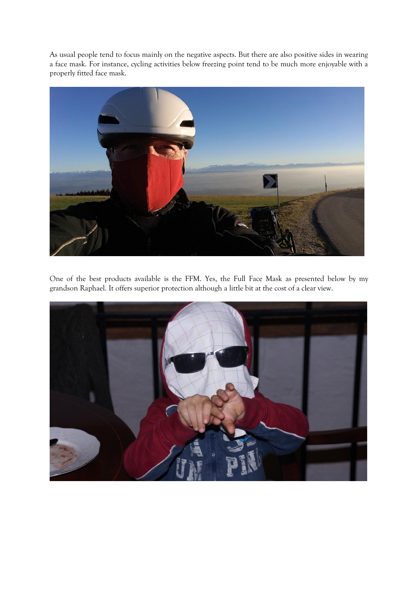As usual people tend to focus mainly on the negative aspects. But there are also positive sides in wearing a face mask. For instance, cycling activities below freezing point tend to be much more enjoyable with a properly fitted face mask.



One of the best products available is the FFM. Yes, the Full Face Mask as presented below by my grandson Raphael. It offers superior protection although a little bit at the cost of a clear view.